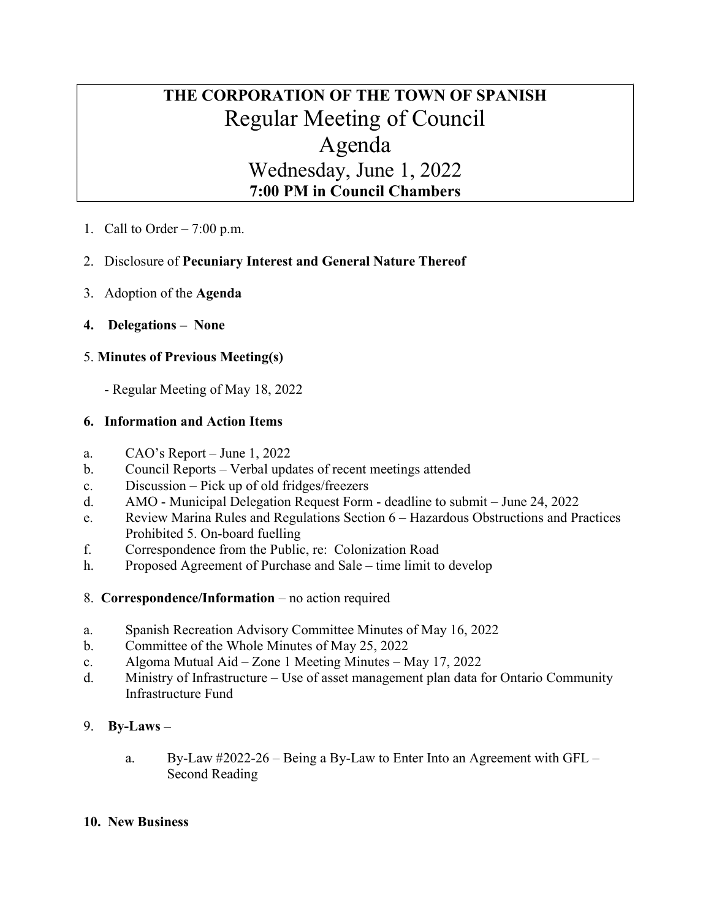# THE CORPORATION OF THE TOWN OF SPANISH Regular Meeting of Council Agenda Wednesday, June 1, 2022 7:00 PM in Council Chambers

1. Call to Order  $-7:00$  p.m.

# 2. Disclosure of Pecuniary Interest and General Nature Thereof

- 3. Adoption of the Agenda
- 4. Delegations None

# 5. Minutes of Previous Meeting(s)

- Regular Meeting of May 18, 2022

# 6. Information and Action Items

- a. CAO's Report June 1, 2022
- b. Council Reports Verbal updates of recent meetings attended
- c. Discussion Pick up of old fridges/freezers
- d. AMO Municipal Delegation Request Form deadline to submit June 24, 2022
- e. Review Marina Rules and Regulations Section 6 Hazardous Obstructions and Practices Prohibited 5. On-board fuelling
- f. Correspondence from the Public, re: Colonization Road
- h. Proposed Agreement of Purchase and Sale time limit to develop
- 8. Correspondence/Information no action required
- a. Spanish Recreation Advisory Committee Minutes of May 16, 2022
- b. Committee of the Whole Minutes of May 25, 2022
- c. Algoma Mutual Aid Zone 1 Meeting Minutes May 17, 2022
- d. Ministry of Infrastructure Use of asset management plan data for Ontario Community Infrastructure Fund

# 9. By-Laws –

a. By-Law #2022-26 – Being a By-Law to Enter Into an Agreement with GFL – Second Reading

## 10. New Business